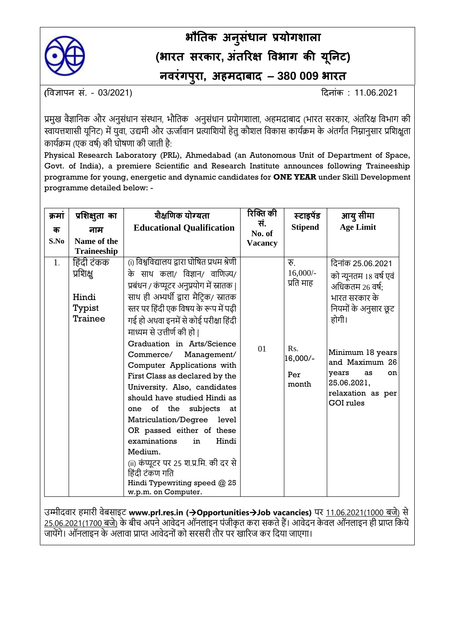

## **भौतिक अन ुसंधान प्रयोगशाला (भारि सरकार, अंिररक्ष विभाग की य ू तनट) निरंगप ुरा, अहमदाबाद – 380 009 भारि**

**(**विज्ञापन सं. – 03/2021) दिनांक : 11.06.2021

प्रमुख वैज्ञानिक और अनुसंधान संस्थान, भौतिक अनुसंधान प्रयोगशाला, अहमदाबाद (भारत सरकार, अंतरिक्ष विभाग की स्वायत्तशासी यूनिट) में युवा, उद्यमी और ऊर्जावान प्रत्याशियों हेतु कौशल विकास कार्यक्रम के अंतर्गत निम्नानुसार प्रशिक्षुता कार्यक्रम (एक वर्ष) की घोषणा की जाती है:

Physical Research Laboratory (PRL), Ahmedabad (an Autonomous Unit of Department of Space, Govt. of India), a premiere Scientific and Research Institute announces following Traineeship programme for young, energetic and dynamic candidates for **ONE YEAR** under Skill Development programme detailed below: -

| क्रमा          | प्रशिक्षुता का                                                              | शैक्षणिक योग्यता                                                                                                                                                                                                                                                                                                                                                                                                                            | रिक्ति की      | स्टाइपेंड                                                                     | आयु सीमा                                                                                                                                                                                                                            |
|----------------|-----------------------------------------------------------------------------|---------------------------------------------------------------------------------------------------------------------------------------------------------------------------------------------------------------------------------------------------------------------------------------------------------------------------------------------------------------------------------------------------------------------------------------------|----------------|-------------------------------------------------------------------------------|-------------------------------------------------------------------------------------------------------------------------------------------------------------------------------------------------------------------------------------|
| क              | नाम                                                                         | <b>Educational Qualification</b>                                                                                                                                                                                                                                                                                                                                                                                                            | सं.<br>No. of  | <b>Stipend</b>                                                                | <b>Age Limit</b>                                                                                                                                                                                                                    |
| S.No           | Name of the                                                                 |                                                                                                                                                                                                                                                                                                                                                                                                                                             | <b>Vacancy</b> |                                                                               |                                                                                                                                                                                                                                     |
| $\mathbf{1}$ . | <b>Traineeship</b><br>हिंदी टंकक<br>प्रशिक्षु<br>Hindi<br>Typist<br>Trainee | (i) विश्वविद्यालय द्वारा घोषित प्रथम श्रेणी<br>के साथ कला/ विज्ञान/ वाणिज्य/<br>प्रबंधन / कंप्यूटर अनुप्रयोग में स्नातक  <br>साथ ही अभ्यर्थी द्वारा मैटिक/ स्नातक<br>स्तर पर हिंदी एक विषय के रूप में पढ़ी<br>गई हो अथवा इनमें से कोई परीक्षा हिंदी<br>माध्यम से उत्तीर्ण की हो  <br>Graduation in Arts/Science<br>Commerce/<br>Management/<br>Computer Applications with<br>First Class as declared by the<br>University. Also, candidates | 01             | रु<br>$16,000/-$<br>प्रति माह<br>R <sub>s</sub> .<br>16,000/-<br>Per<br>month | दिनांक 25.06.2021<br>को न्यूनतम 18 वर्ष एवं<br>अधिकतम 26 वर्ष;<br>भारत सरकार के<br>नियमों के अनुसार छूट<br>होगी।<br>Minimum 18 years<br>and Maximum 26<br>years<br>as<br>on<br>25.06.2021,<br>relaxation as per<br><b>GOI</b> rules |
|                |                                                                             | should have studied Hindi as<br>the subjects<br>of<br>one<br>at<br>Matriculation/Degree<br>level<br>OR passed either of these<br>examinations<br>Hindi<br>in<br>Medium.<br>(ii) कंप्यूटर पर 25 श.प्र.मि. की दर से<br>हिंदी टंकण गति<br>Hindi Typewriting speed @ 25<br>w.p.m. on Computer.                                                                                                                                                  |                |                                                                               |                                                                                                                                                                                                                                     |

उम्मीदवार हमारी वेबसाइट **[www.prl.res.in](http://www.prl.res.in/) (**→**Opportunities**→**Job vacancies)** पर 11.06.2021(1000 बर्े) से 25.06.2021(1700 बजे) के बीच अपने आवेदन ऑनलाइन पंजीकृत करा सकते हैं। आवेदन केवल ऑनलाइन ही प्राप्त किये जायेंगे। ऑनलाइन के अलावा प्राप्त आवेदनों को सरसरी तौर पर खारिज कर दिया जाएगा।